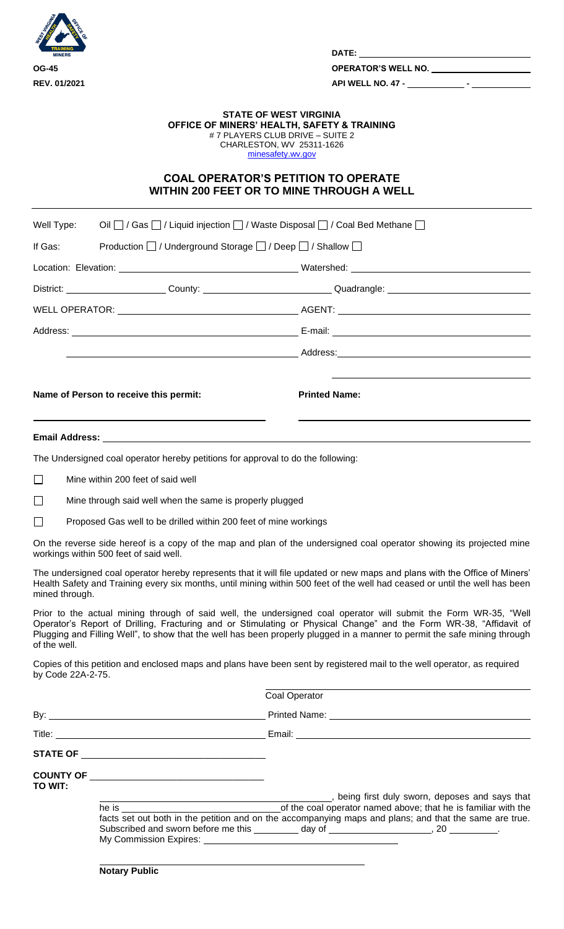

**DATE:** 

## **STATE OF WEST VIRGINIA OFFICE OF MINERS' HEALTH, SAFETY & TRAINING** # 7 PLAYERS CLUB DRIVE – SUITE 2 CHARLESTON, WV 25311-1626 [minesafety.wv.gov](https://minesafety.wv.gov/)

## **COAL OPERATOR'S PETITION TO OPERATE WITHIN 200 FEET OR TO MINE THROUGH A WELL**

| Well Type:        |                                                                                                                                                                                                                                                                                                                                                                                                                                                                                                                                                                                                                                                                                                                                                                                                                                                                                                                                                                                                                                                                                                                                                                                                                                                                                                                                                                                                                                                                                                        |                                                                                             |
|-------------------|--------------------------------------------------------------------------------------------------------------------------------------------------------------------------------------------------------------------------------------------------------------------------------------------------------------------------------------------------------------------------------------------------------------------------------------------------------------------------------------------------------------------------------------------------------------------------------------------------------------------------------------------------------------------------------------------------------------------------------------------------------------------------------------------------------------------------------------------------------------------------------------------------------------------------------------------------------------------------------------------------------------------------------------------------------------------------------------------------------------------------------------------------------------------------------------------------------------------------------------------------------------------------------------------------------------------------------------------------------------------------------------------------------------------------------------------------------------------------------------------------------|---------------------------------------------------------------------------------------------|
| If Gas:           |                                                                                                                                                                                                                                                                                                                                                                                                                                                                                                                                                                                                                                                                                                                                                                                                                                                                                                                                                                                                                                                                                                                                                                                                                                                                                                                                                                                                                                                                                                        |                                                                                             |
|                   |                                                                                                                                                                                                                                                                                                                                                                                                                                                                                                                                                                                                                                                                                                                                                                                                                                                                                                                                                                                                                                                                                                                                                                                                                                                                                                                                                                                                                                                                                                        |                                                                                             |
|                   |                                                                                                                                                                                                                                                                                                                                                                                                                                                                                                                                                                                                                                                                                                                                                                                                                                                                                                                                                                                                                                                                                                                                                                                                                                                                                                                                                                                                                                                                                                        |                                                                                             |
|                   |                                                                                                                                                                                                                                                                                                                                                                                                                                                                                                                                                                                                                                                                                                                                                                                                                                                                                                                                                                                                                                                                                                                                                                                                                                                                                                                                                                                                                                                                                                        |                                                                                             |
|                   |                                                                                                                                                                                                                                                                                                                                                                                                                                                                                                                                                                                                                                                                                                                                                                                                                                                                                                                                                                                                                                                                                                                                                                                                                                                                                                                                                                                                                                                                                                        |                                                                                             |
|                   |                                                                                                                                                                                                                                                                                                                                                                                                                                                                                                                                                                                                                                                                                                                                                                                                                                                                                                                                                                                                                                                                                                                                                                                                                                                                                                                                                                                                                                                                                                        |                                                                                             |
|                   | Name of Person to receive this permit:                                                                                                                                                                                                                                                                                                                                                                                                                                                                                                                                                                                                                                                                                                                                                                                                                                                                                                                                                                                                                                                                                                                                                                                                                                                                                                                                                                                                                                                                 | <b>Printed Name:</b>                                                                        |
|                   | Oil □ / Gas □ / Liquid injection □ / Waste Disposal □ / Coal Bed Methane □<br>Production   / Underground Storage   / Deep   / Shallow  <br>District: _______________________County: _________________________________Quadrangle: ________________________<br>The Undersigned coal operator hereby petitions for approval to do the following:<br>Mine through said well when the same is properly plugged<br>Proposed Gas well to be drilled within 200 feet of mine workings<br>On the reverse side hereof is a copy of the map and plan of the undersigned coal operator showing its projected mine<br>The undersigned coal operator hereby represents that it will file updated or new maps and plans with the Office of Miners'<br>Health Safety and Training every six months, until mining within 500 feet of the well had ceased or until the well has been<br>Prior to the actual mining through of said well, the undersigned coal operator will submit the Form WR-35, "Well<br>Operator's Report of Drilling, Fracturing and or Stimulating or Physical Change" and the Form WR-38, "Affidavit of<br>Plugging and Filling Well", to show that the well has been properly plugged in a manner to permit the safe mining through<br>Copies of this petition and enclosed maps and plans have been sent by registered mail to the well operator, as required<br><b>Coal Operator</b><br>facts set out both in the petition and on the accompanying maps and plans; and that the same are true. |                                                                                             |
|                   |                                                                                                                                                                                                                                                                                                                                                                                                                                                                                                                                                                                                                                                                                                                                                                                                                                                                                                                                                                                                                                                                                                                                                                                                                                                                                                                                                                                                                                                                                                        |                                                                                             |
| $\Box$            | Mine within 200 feet of said well                                                                                                                                                                                                                                                                                                                                                                                                                                                                                                                                                                                                                                                                                                                                                                                                                                                                                                                                                                                                                                                                                                                                                                                                                                                                                                                                                                                                                                                                      |                                                                                             |
| $\Box$            |                                                                                                                                                                                                                                                                                                                                                                                                                                                                                                                                                                                                                                                                                                                                                                                                                                                                                                                                                                                                                                                                                                                                                                                                                                                                                                                                                                                                                                                                                                        |                                                                                             |
| $\Box$            |                                                                                                                                                                                                                                                                                                                                                                                                                                                                                                                                                                                                                                                                                                                                                                                                                                                                                                                                                                                                                                                                                                                                                                                                                                                                                                                                                                                                                                                                                                        |                                                                                             |
|                   | workings within 500 feet of said well.                                                                                                                                                                                                                                                                                                                                                                                                                                                                                                                                                                                                                                                                                                                                                                                                                                                                                                                                                                                                                                                                                                                                                                                                                                                                                                                                                                                                                                                                 |                                                                                             |
| mined through.    |                                                                                                                                                                                                                                                                                                                                                                                                                                                                                                                                                                                                                                                                                                                                                                                                                                                                                                                                                                                                                                                                                                                                                                                                                                                                                                                                                                                                                                                                                                        |                                                                                             |
| of the well.      |                                                                                                                                                                                                                                                                                                                                                                                                                                                                                                                                                                                                                                                                                                                                                                                                                                                                                                                                                                                                                                                                                                                                                                                                                                                                                                                                                                                                                                                                                                        |                                                                                             |
| by Code 22A-2-75. |                                                                                                                                                                                                                                                                                                                                                                                                                                                                                                                                                                                                                                                                                                                                                                                                                                                                                                                                                                                                                                                                                                                                                                                                                                                                                                                                                                                                                                                                                                        |                                                                                             |
|                   |                                                                                                                                                                                                                                                                                                                                                                                                                                                                                                                                                                                                                                                                                                                                                                                                                                                                                                                                                                                                                                                                                                                                                                                                                                                                                                                                                                                                                                                                                                        |                                                                                             |
|                   |                                                                                                                                                                                                                                                                                                                                                                                                                                                                                                                                                                                                                                                                                                                                                                                                                                                                                                                                                                                                                                                                                                                                                                                                                                                                                                                                                                                                                                                                                                        |                                                                                             |
|                   |                                                                                                                                                                                                                                                                                                                                                                                                                                                                                                                                                                                                                                                                                                                                                                                                                                                                                                                                                                                                                                                                                                                                                                                                                                                                                                                                                                                                                                                                                                        |                                                                                             |
|                   |                                                                                                                                                                                                                                                                                                                                                                                                                                                                                                                                                                                                                                                                                                                                                                                                                                                                                                                                                                                                                                                                                                                                                                                                                                                                                                                                                                                                                                                                                                        |                                                                                             |
| TO WIT:           |                                                                                                                                                                                                                                                                                                                                                                                                                                                                                                                                                                                                                                                                                                                                                                                                                                                                                                                                                                                                                                                                                                                                                                                                                                                                                                                                                                                                                                                                                                        |                                                                                             |
|                   |                                                                                                                                                                                                                                                                                                                                                                                                                                                                                                                                                                                                                                                                                                                                                                                                                                                                                                                                                                                                                                                                                                                                                                                                                                                                                                                                                                                                                                                                                                        | Subscribed and sworn before me this _________ day of ______________________, 20 __________. |
|                   | <b>Notary Public</b>                                                                                                                                                                                                                                                                                                                                                                                                                                                                                                                                                                                                                                                                                                                                                                                                                                                                                                                                                                                                                                                                                                                                                                                                                                                                                                                                                                                                                                                                                   |                                                                                             |